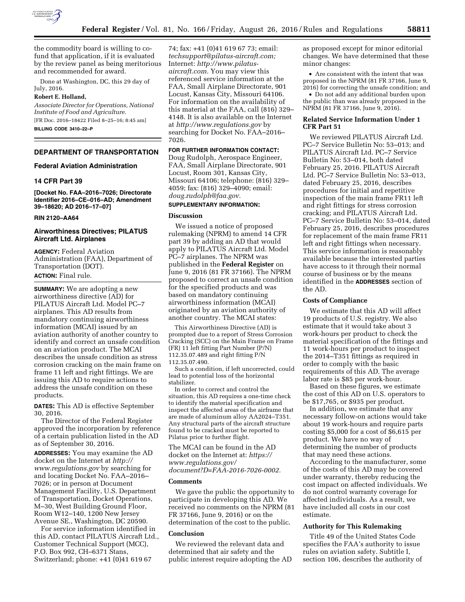

the commodity board is willing to cofund that application, if it is evaluated by the review panel as being meritorious and recommended for award.

Done at Washington, DC, this 29 day of July, 2016.

# **Robert E. Holland,**

*Associate Director for Operations, National Institute of Food and Agriculture.*  [FR Doc. 2016–18422 Filed 8–25–16; 8:45 am]

**BILLING CODE 3410–22–P** 

# **DEPARTMENT OF TRANSPORTATION**

### **Federal Aviation Administration**

# **14 CFR Part 39**

**[Docket No. FAA–2016–7026; Directorate Identifier 2016–CE–016–AD; Amendment 39–18620; AD 2016–17–07]** 

#### **RIN 2120–AA64**

# **Airworthiness Directives; PILATUS Aircraft Ltd. Airplanes**

**AGENCY:** Federal Aviation Administration (FAA), Department of Transportation (DOT).

# **ACTION:** Final rule.

**SUMMARY:** We are adopting a new airworthiness directive (AD) for PILATUS Aircraft Ltd. Model PC–7 airplanes. This AD results from mandatory continuing airworthiness information (MCAI) issued by an aviation authority of another country to identify and correct an unsafe condition on an aviation product. The MCAI describes the unsafe condition as stress corrosion cracking on the main frame on frame 11 left and right fittings. We are issuing this AD to require actions to address the unsafe condition on these products.

**DATES:** This AD is effective September 30, 2016.

The Director of the Federal Register approved the incorporation by reference of a certain publication listed in the AD as of September 30, 2016.

**ADDRESSES:** You may examine the AD docket on the Internet at *[http://](http://www.regulations.gov) [www.regulations.gov](http://www.regulations.gov)* by searching for and locating Docket No. FAA–2016– 7026; or in person at Document Management Facility, U.S. Department of Transportation, Docket Operations, M–30, West Building Ground Floor, Room W12–140, 1200 New Jersey Avenue SE., Washington, DC 20590.

For service information identified in this AD, contact PILATUS Aircraft Ltd., Customer Technical Support (MCC), P.O. Box 992, CH–6371 Stans, Switzerland; phone: +41 (0)41 619 67

74; fax: +41 (0)41 619 67 73; email: *[techsupport@pilatus-aircraft.com;](mailto:techsupport@pilatus-aircraft.com)*  Internet: *[http://www.pilatus](http://www.pilatus-aircraft.com)[aircraft.com.](http://www.pilatus-aircraft.com)* You may view this referenced service information at the FAA, Small Airplane Directorate, 901 Locust, Kansas City, Missouri 64106. For information on the availability of this material at the FAA, call (816) 329– 4148. It is also available on the Internet at *<http://www.regulations.gov>* by searching for Docket No. FAA–2016– 7026.

# **FOR FURTHER INFORMATION CONTACT:**

Doug Rudolph, Aerospace Engineer, FAA, Small Airplane Directorate, 901 Locust, Room 301, Kansas City, Missouri 64106; telephone: (816) 329– 4059; fax: (816) 329–4090; email: *[doug.rudolph@faa.gov.](mailto:doug.rudolph@faa.gov)* 

# **SUPPLEMENTARY INFORMATION:**

### **Discussion**

We issued a notice of proposed rulemaking (NPRM) to amend 14 CFR part 39 by adding an AD that would apply to PILATUS Aircraft Ltd. Model PC–7 airplanes. The NPRM was published in the **Federal Register** on June 9, 2016 (81 FR 37166). The NPRM proposed to correct an unsafe condition for the specified products and was based on mandatory continuing airworthiness information (MCAI) originated by an aviation authority of another country. The MCAI states:

This Airworthiness Directive (AD) is prompted due to a report of Stress Corrosion Cracking (SCC) on the Main Frame on Frame (FR) 11 left fitting Part Number (P/N) 112.35.07.489 and right fitting P/N 112.35.07.490.

Such a condition, if left uncorrected, could lead to potential loss of the horizontal stabilizer.

In order to correct and control the situation, this AD requires a one-time check to identify the material specification and inspect the affected areas of the airframe that are made of aluminum alloy AA2024–T351. Any structural parts of the aircraft structure found to be cracked must be reported to Pilatus prior to further flight.

The MCAI can be found in the AD docket on the Internet at: *[https://](https://www.regulations.gov/document?D=FAA-2016-7026-0002) [www.regulations.gov/](https://www.regulations.gov/document?D=FAA-2016-7026-0002) [document?D=FAA-2016-7026-0002.](https://www.regulations.gov/document?D=FAA-2016-7026-0002)* 

#### **Comments**

We gave the public the opportunity to participate in developing this AD. We received no comments on the NPRM (81 FR 37166, June 9, 2016) or on the determination of the cost to the public.

## **Conclusion**

We reviewed the relevant data and determined that air safety and the public interest require adopting the AD as proposed except for minor editorial changes. We have determined that these minor changes:

• Are consistent with the intent that was proposed in the NPRM (81 FR 37166, June 9, 2016) for correcting the unsafe condition; and

• Do not add any additional burden upon the public than was already proposed in the NPRM (81 FR 37166, June 9, 2016).

# **Related Service Information Under 1 CFR Part 51**

We reviewed PILATUS Aircraft Ltd. PC–7 Service Bulletin No: 53–013; and PILATUS Aircraft Ltd. PC–7 Service Bulletin No: 53–014, both dated February 25, 2016. PILATUS Aircraft Ltd. PC–7 Service Bulletin No: 53–013, dated February 25, 2016, describes procedures for initial and repetitive inspection of the main frame FR11 left and right fittings for stress corrosion cracking; and PILATUS Aircraft Ltd. PC–7 Service Bulletin No: 53–014, dated February 25, 2016, describes procedures for replacement of the main frame FR11 left and right fittings when necessary. This service information is reasonably available because the interested parties have access to it through their normal course of business or by the means identified in the **ADDRESSES** section of the AD.

#### **Costs of Compliance**

We estimate that this AD will affect 19 products of U.S. registry. We also estimate that it would take about 3 work-hours per product to check the material specification of the fittings and 11 work-hours per product to inspect the 2014–T351 fittings as required in order to comply with the basic requirements of this AD. The average labor rate is \$85 per work-hour.

Based on these figures, we estimate the cost of this AD on U.S. operators to be \$17,765, or \$935 per product.

In addition, we estimate that any necessary follow-on actions would take about 19 work-hours and require parts costing \$5,000 for a cost of \$6,615 per product. We have no way of determining the number of products that may need these actions.

According to the manufacturer, some of the costs of this AD may be covered under warranty, thereby reducing the cost impact on affected individuals. We do not control warranty coverage for affected individuals. As a result, we have included all costs in our cost estimate.

### **Authority for This Rulemaking**

Title 49 of the United States Code specifies the FAA's authority to issue rules on aviation safety. Subtitle I, section 106, describes the authority of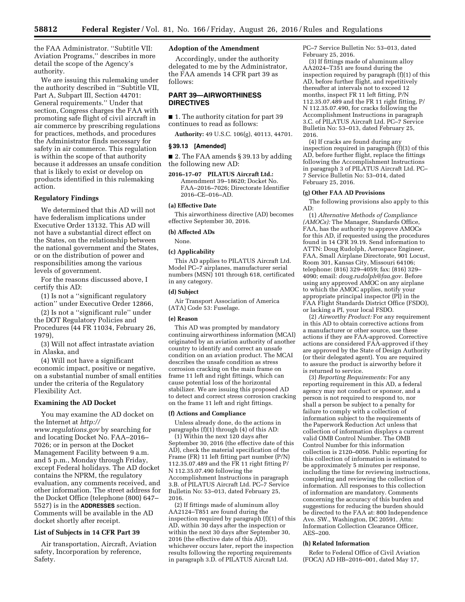the FAA Administrator. ''Subtitle VII: Aviation Programs,'' describes in more detail the scope of the Agency's authority.

We are issuing this rulemaking under the authority described in ''Subtitle VII, Part A, Subpart III, Section 44701: General requirements.'' Under that section, Congress charges the FAA with promoting safe flight of civil aircraft in air commerce by prescribing regulations for practices, methods, and procedures the Administrator finds necessary for safety in air commerce. This regulation is within the scope of that authority because it addresses an unsafe condition that is likely to exist or develop on products identified in this rulemaking action.

### **Regulatory Findings**

We determined that this AD will not have federalism implications under Executive Order 13132. This AD will not have a substantial direct effect on the States, on the relationship between the national government and the States, or on the distribution of power and responsibilities among the various levels of government.

For the reasons discussed above, I certify this AD:

(1) Is not a ''significant regulatory action'' under Executive Order 12866,

(2) Is not a ''significant rule'' under the DOT Regulatory Policies and Procedures (44 FR 11034, February 26, 1979),

(3) Will not affect intrastate aviation in Alaska, and

(4) Will not have a significant economic impact, positive or negative, on a substantial number of small entities under the criteria of the Regulatory Flexibility Act.

#### **Examining the AD Docket**

You may examine the AD docket on the Internet at *[http://](http://www.regulations.gov) [www.regulations.gov](http://www.regulations.gov)* by searching for and locating Docket No. FAA–2016– 7026; or in person at the Docket Management Facility between 9 a.m. and 5 p.m., Monday through Friday, except Federal holidays. The AD docket contains the NPRM, the regulatory evaluation, any comments received, and other information. The street address for the Docket Office (telephone (800) 647– 5527) is in the **ADDRESSES** section. Comments will be available in the AD docket shortly after receipt.

# **List of Subjects in 14 CFR Part 39**

Air transportation, Aircraft, Aviation safety, Incorporation by reference, Safety.

# **Adoption of the Amendment**

Accordingly, under the authority delegated to me by the Administrator, the FAA amends 14 CFR part 39 as follows:

# **PART 39—AIRWORTHINESS DIRECTIVES**

■ 1. The authority citation for part 39 continues to read as follows:

**Authority:** 49 U.S.C. 106(g), 40113, 44701.

## **§ 39.13 [Amended]**

■ 2. The FAA amends § 39.13 by adding the following new AD:

**2016–17–07 PILATUS Aircraft Ltd.:**  Amendment 39–18620; Docket No. FAA–2016–7026; Directorate Identifier 2016–CE–016–AD.

#### **(a) Effective Date**

This airworthiness directive (AD) becomes effective September 30, 2016.

#### **(b) Affected ADs**

None.

# **(c) Applicability**

This AD applies to PILATUS Aircraft Ltd. Model PC–7 airplanes, manufacturer serial numbers (MSN) 101 through 618, certificated in any category.

### **(d) Subject**

Air Transport Association of America (ATA) Code 53: Fuselage.

### **(e) Reason**

This AD was prompted by mandatory continuing airworthiness information (MCAI) originated by an aviation authority of another country to identify and correct an unsafe condition on an aviation product. The MCAI describes the unsafe condition as stress corrosion cracking on the main frame on frame 11 left and right fittings, which can cause potential loss of the horizontal stabilizer. We are issuing this proposed AD to detect and correct stress corrosion cracking on the frame 11 left and right fittings.

# **(f) Actions and Compliance**

Unless already done, do the actions in paragraphs  $(f)(1)$  through  $(4)$  of this AD:

(1) Within the next 120 days after September 30, 2016 (the effective date of this AD), check the material specification of the Frame (FR) 11 left fitting part number (P/N) 112.35.07.489 and the FR 11 right fitting P/ N 112.35.07.490 following the Accomplishment Instructions in paragraph 3.B. of PILATUS Aircraft Ltd. PC–7 Service Bulletin No: 53–013, dated February 25, 2016.

(2) If fittings made of aluminum alloy AA2124–T851 are found during the inspection required by paragraph (f)(1) of this AD, within 30 days after the inspection or within the next 30 days after September 30, 2016 (the effective date of this AD), whichever occurs later, report the inspection results following the reporting requirements in paragraph 3.D. of PILATUS Aircraft Ltd.

PC–7 Service Bulletin No: 53–013, dated February 25, 2016.

(3) If fittings made of aluminum alloy AA2024–T351 are found during the inspection required by paragraph (f)(1) of this AD, before further flight, and repetitively thereafter at intervals not to exceed 12 months, inspect FR 11 left fitting, P/N 112.35.07.489 and the FR 11 right fitting, P/ N 112.35.07.490, for cracks following the Accomplishment Instructions in paragraph 3.C. of PILATUS Aircraft Ltd. PC–7 Service Bulletin No: 53–013, dated February 25, 2016.

(4) If cracks are found during any inspection required in paragraph (f)(3) of this AD, before further flight, replace the fittings following the Accomplishment Instructions in paragraph 3 of PILATUS Aircraft Ltd. PC– 7 Service Bulletin No: 53–014, dated February 25, 2016.

### **(g) Other FAA AD Provisions**

The following provisions also apply to this AD:

(1) *Alternative Methods of Compliance (AMOCs):* The Manager, Standards Office, FAA, has the authority to approve AMOCs for this AD, if requested using the procedures found in 14 CFR 39.19. Send information to ATTN: Doug Rudolph, Aerospace Engineer, FAA, Small Airplane Directorate, 901 Locust, Room 301, Kansas City, Missouri 64106; telephone: (816) 329–4059; fax: (816) 329– 4090; email: *[doug.rudolph@faa.gov.](mailto:doug.rudolph@faa.gov)* Before using any approved AMOC on any airplane to which the AMOC applies, notify your appropriate principal inspector (PI) in the FAA Flight Standards District Office (FSDO), or lacking a PI, your local FSDO.

(2) *Airworthy Product:* For any requirement in this AD to obtain corrective actions from a manufacturer or other source, use these actions if they are FAA-approved. Corrective actions are considered FAA-approved if they are approved by the State of Design Authority (or their delegated agent). You are required to assure the product is airworthy before it is returned to service.

(3) *Reporting Requirements:* For any reporting requirement in this AD, a federal agency may not conduct or sponsor, and a person is not required to respond to, nor shall a person be subject to a penalty for failure to comply with a collection of information subject to the requirements of the Paperwork Reduction Act unless that collection of information displays a current valid OMB Control Number. The OMB Control Number for this information collection is 2120–0056. Public reporting for this collection of information is estimated to be approximately 5 minutes per response, including the time for reviewing instructions, completing and reviewing the collection of information. All responses to this collection of information are mandatory. Comments concerning the accuracy of this burden and suggestions for reducing the burden should be directed to the FAA at: 800 Independence Ave. SW., Washington, DC 20591, Attn: Information Collection Clearance Officer, AES–200.

#### **(h) Related Information**

Refer to Federal Office of Civil Aviation (FOCA) AD HB–2016–001, dated May 17,